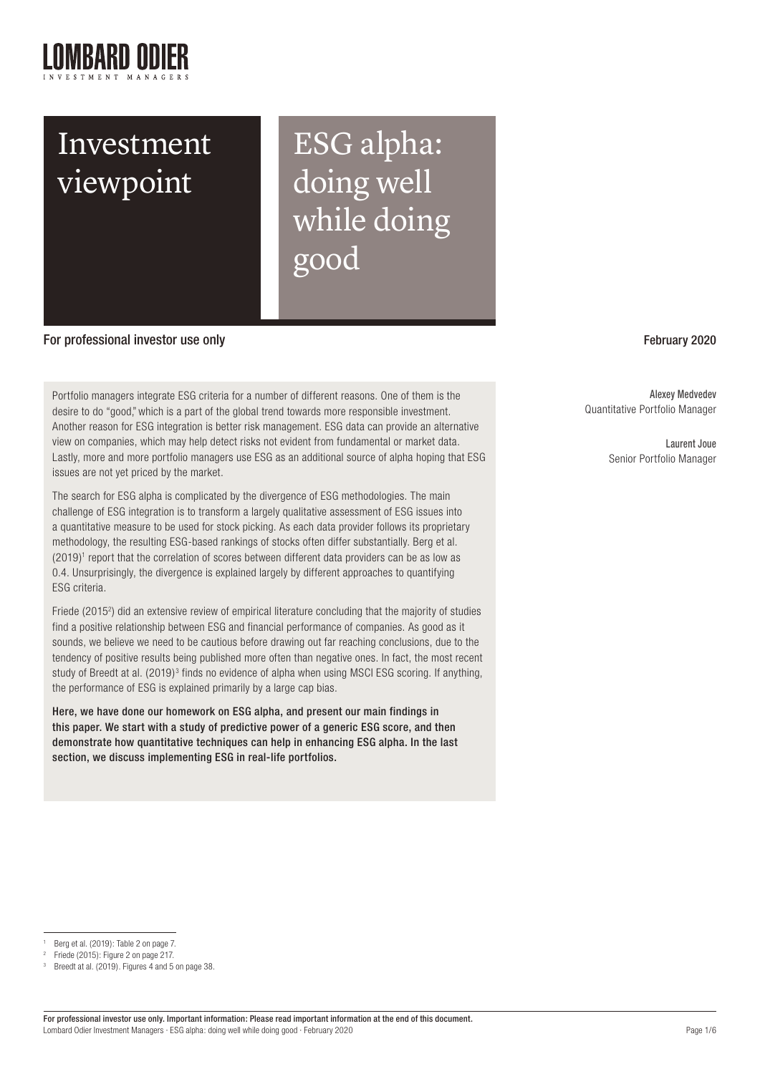ESG alpha: doing well while doing good

# For professional investor use only February 2020

Portfolio managers integrate ESG criteria for a number of different reasons. One of them is the desire to do "good," which is a part of the global trend towards more responsible investment. Another reason for ESG integration is better risk management. ESG data can provide an alternative view on companies, which may help detect risks not evident from fundamental or market data. Lastly, more and more portfolio managers use ESG as an additional source of alpha hoping that ESG issues are not yet priced by the market.

The search for ESG alpha is complicated by the divergence of ESG methodologies. The main challenge of ESG integration is to transform a largely qualitative assessment of ESG issues into a quantitative measure to be used for stock picking. As each data provider follows its proprietary methodology, the resulting ESG-based rankings of stocks often differ substantially. Berg et al.  $(2019)^1$  report that the correlation of scores between different data providers can be as low as 0.4. Unsurprisingly, the divergence is explained largely by different approaches to quantifying ESG criteria.

Friede (2015<sup>2</sup>) did an extensive review of empirical literature concluding that the majority of studies find a positive relationship between ESG and financial performance of companies. As good as it sounds, we believe we need to be cautious before drawing out far reaching conclusions, due to the tendency of positive results being published more often than negative ones. In fact, the most recent study of Breedt at al. (2019) $^3$  finds no evidence of alpha when using MSCI ESG scoring. If anything, the performance of ESG is explained primarily by a large cap bias.

Here, we have done our homework on ESG alpha, and present our main findings in this paper. We start with a study of predictive power of a generic ESG score, and then demonstrate how quantitative techniques can help in enhancing ESG alpha. In the last section, we discuss implementing ESG in real-life portfolios.

## Berg et al. (2019): Table 2 on page 7.

Alexey Medvedev Quantitative Portfolio Manager

> Laurent Joue Senior Portfolio Manager

<sup>2</sup> Friede (2015): Figure 2 on page 217.

Breedt at al. (2019). Figures 4 and 5 on page 38.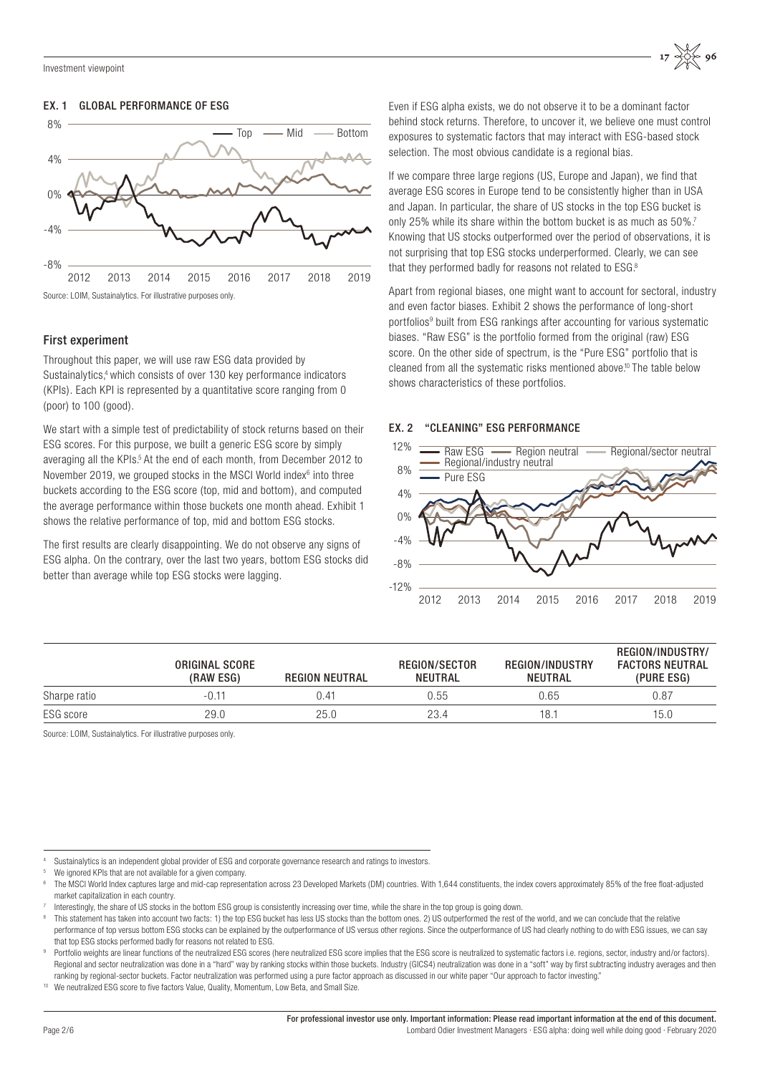# EX. 1 GLOBAL PERFORMANCE OF ESG



# First experiment

Throughout this paper, we will use raw ESG data provided by Sustainalytics,<sup>4</sup> which consists of over 130 key performance indicators (KPIs). Each KPI is represented by a quantitative score ranging from 0 (poor) to 100 (good).

We start with a simple test of predictability of stock returns based on their ESG scores. For this purpose, we built a generic ESG score by simply averaging all the KPIs.<sup>5</sup> At the end of each month, from December 2012 to November 2019, we grouped stocks in the MSCI World index<sup>6</sup> into three buckets according to the ESG score (top, mid and bottom), and computed the average performance within those buckets one month ahead. Exhibit 1 shows the relative performance of top, mid and bottom ESG stocks.

The first results are clearly disappointing. We do not observe any signs of ESG alpha. On the contrary, over the last two years, bottom ESG stocks did better than average while top ESG stocks were lagging.

Even if ESG alpha exists, we do not observe it to be a dominant factor behind stock returns. Therefore, to uncover it, we believe one must control exposures to systematic factors that may interact with ESG-based stock selection. The most obvious candidate is a regional bias.

If we compare three large regions (US, Europe and Japan), we find that average ESG scores in Europe tend to be consistently higher than in USA and Japan. In particular, the share of US stocks in the top ESG bucket is only 25% while its share within the bottom bucket is as much as 50%.7 Knowing that US stocks outperformed over the period of observations, it is not surprising that top ESG stocks underperformed. Clearly, we can see that they performed badly for reasons not related to ESG.<sup>8</sup>

Apart from regional biases, one might want to account for sectoral, industry and even factor biases. Exhibit 2 shows the performance of long-short portfolios<sup>9</sup> built from ESG rankings after accounting for various systematic biases. "Raw ESG" is the portfolio formed from the original (raw) ESG score. On the other side of spectrum, is the "Pure ESG" portfolio that is cleaned from all the systematic risks mentioned above.<sup>10</sup> The table below shows characteristics of these portfolios.

# EX. 2 "CLEANING" ESG PERFORMANCE



|              | ORIGINAL SCORE<br>(RAW ESG) | <b>REGION NEUTRAL</b> | REGION/SECTOR<br>NEUTRAL | <b>REGION/INDUSTRY</b><br>NEUTRAL | REGION/INDUSTRY/<br><b>FACTORS NEUTRAL</b><br>(PURE ESG) |
|--------------|-----------------------------|-----------------------|--------------------------|-----------------------------------|----------------------------------------------------------|
| Sharpe ratio | $-0.11$                     | N 41                  | 0.55                     | 0.65                              | 0.87                                                     |
| ESG score    | 29.0                        | 25.0                  | 23.4                     | 18.                               | 15.0                                                     |

Source: LOIM, Sustainalytics. For illustrative purposes only.

Sustainalytics is an independent global provider of ESG and corporate governance research and ratings to investors.

<sup>5</sup> We ignored KPIs that are not available for a given company.<br>6 The MSCI World Index captures large and mid-cap representation across 23 Developed Markets (DM) countries. With 1,644 constituents, the index covers approxima market capitalization in each country.

Interestingly, the share of US stocks in the bottom ESG group is consistently increasing over time, while the share in the top group is going down.

This statement has taken into account two facts: 1) the top ESG bucket has less US stocks than the bottom ones. 2) US outperformed the rest of the world, and we can conclude that the relative performance of top versus bottom ESG stocks can be explained by the outperformance of US versus other regions. Since the outperformance of US had clearly nothing to do with ESG issues, we can say that top ESG stocks performed badly for reasons not related to ESG.

Portfolio weights are linear functions of the neutralized ESG scores (here neutralized ESG score implies that the ESG score is neutralized to systematic factors i.e. regions, sector, industry and/or factors). Regional and sector neutralization was done in a "hard" way by ranking stocks within those buckets. Industry (GICS4) neutralization was done in a "soft" way by first subtracting industry averages and then ranking by regional-sector buckets. Factor neutralization was performed using a pure factor approach as discussed in our white paper "Our approach to factor investing."

We neutralized ESG score to five factors Value, Quality, Momentum, Low Beta, and Small Size.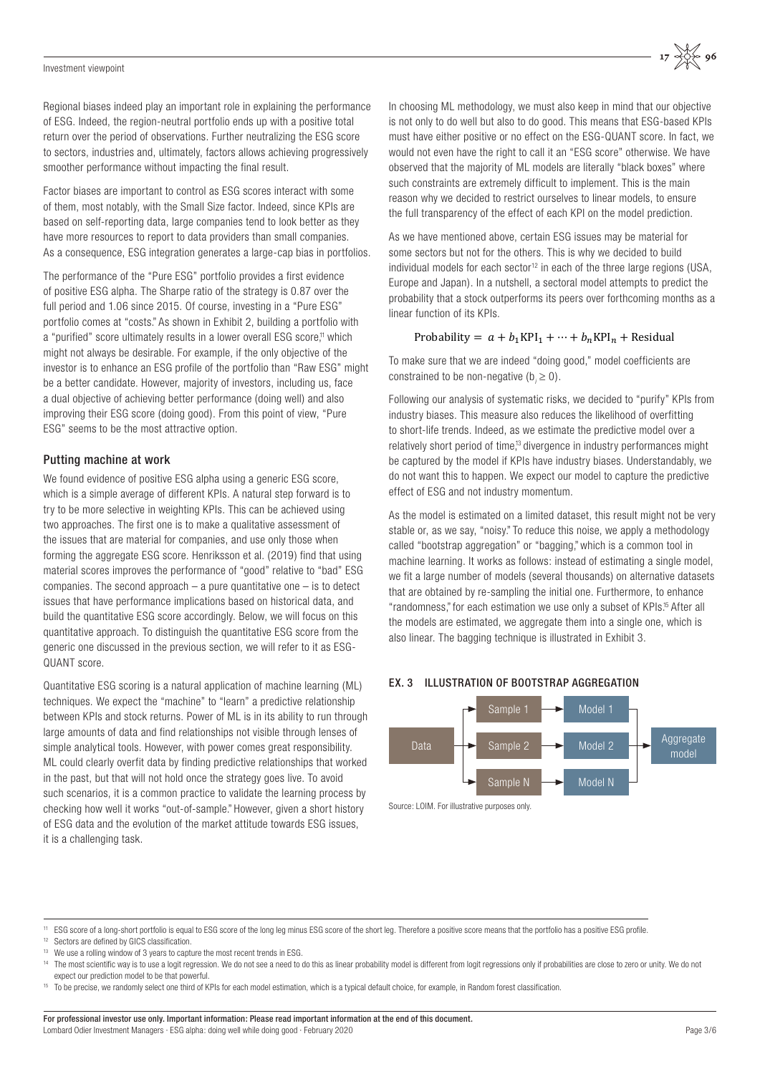Regional biases indeed play an important role in explaining the performance of ESG. Indeed, the region-neutral portfolio ends up with a positive total return over the period of observations. Further neutralizing the ESG score to sectors, industries and, ultimately, factors allows achieving progressively smoother performance without impacting the final result.

Factor biases are important to control as ESG scores interact with some of them, most notably, with the Small Size factor. Indeed, since KPIs are based on self-reporting data, large companies tend to look better as they have more resources to report to data providers than small companies. As a consequence, ESG integration generates a large-cap bias in portfolios.

The performance of the "Pure ESG" portfolio provides a first evidence of positive ESG alpha. The Sharpe ratio of the strategy is 0.87 over the full period and 1.06 since 2015. Of course, investing in a "Pure ESG" portfolio comes at "costs." As shown in Exhibit 2, building a portfolio with a "purified" score ultimately results in a lower overall ESG score,<sup>11</sup> which might not always be desirable. For example, if the only objective of the investor is to enhance an ESG profile of the portfolio than "Raw ESG" might be a better candidate. However, majority of investors, including us, face a dual objective of achieving better performance (doing well) and also improving their ESG score (doing good). From this point of view, "Pure ESG" seems to be the most attractive option.

# Putting machine at work

We found evidence of positive ESG alpha using a generic ESG score, which is a simple average of different KPIs. A natural step forward is to try to be more selective in weighting KPIs. This can be achieved using two approaches. The first one is to make a qualitative assessment of the issues that are material for companies, and use only those when forming the aggregate ESG score. Henriksson et al. (2019) find that using material scores improves the performance of "good" relative to "bad" ESG companies. The second approach  $-$  a pure quantitative one  $-$  is to detect issues that have performance implications based on historical data, and build the quantitative ESG score accordingly. Below, we will focus on this quantitative approach. To distinguish the quantitative ESG score from the generic one discussed in the previous section, we will refer to it as ESG-QUANT score.

Quantitative ESG scoring is a natural application of machine learning (ML) techniques. We expect the "machine" to "learn" a predictive relationship between KPIs and stock returns. Power of ML is in its ability to run through large amounts of data and find relationships not visible through lenses of simple analytical tools. However, with power comes great responsibility. ML could clearly overfit data by finding predictive relationships that worked in the past, but that will not hold once the strategy goes live. To avoid such scenarios, it is a common practice to validate the learning process by checking how well it works "out-of-sample." However, given a short history of ESG data and the evolution of the market attitude towards ESG issues, it is a challenging task.

In choosing ML methodology, we must also keep in mind that our objective is not only to do well but also to do good. This means that ESG-based KPIs must have either positive or no effect on the ESG-QUANT score. In fact, we would not even have the right to call it an "ESG score" otherwise. We have observed that the majority of ML models are literally "black boxes" where such constraints are extremely difficult to implement. This is the main reason why we decided to restrict ourselves to linear models, to ensure the full transparency of the effect of each KPI on the model prediction.

 $17 \frac{11}{200} 96$ 

As we have mentioned above, certain ESG issues may be material for some sectors but not for the others. This is why we decided to build individual models for each sector<sup>12</sup> in each of the three large regions (USA, Europe and Japan). In a nutshell, a sectoral model attempts to predict the probability that a stock outperforms its peers over forthcoming months as a linear function of its KPIs.

# Probability =  $a + b_1 \text{KPI}_1 + \cdots + b_n \text{KPI}_n$  + Residual

To make sure that we are indeed "doing good," model coefficients are constrained to be non-negative  $(b_i \geq 0)$ .

Following our analysis of systematic risks, we decided to "purify" KPIs from industry biases. This measure also reduces the likelihood of overfitting to short-life trends. Indeed, as we estimate the predictive model over a relatively short period of time,<sup>13</sup> divergence in industry performances might be captured by the model if KPIs have industry biases. Understandably, we do not want this to happen. We expect our model to capture the predictive effect of ESG and not industry momentum.

As the model is estimated on a limited dataset, this result might not be very stable or, as we say, "noisy." To reduce this noise, we apply a methodology called "bootstrap aggregation" or "bagging," which is a common tool in machine learning. It works as follows: instead of estimating a single model, we fit a large number of models (several thousands) on alternative datasets that are obtained by re-sampling the initial one. Furthermore, to enhance "randomness," for each estimation we use only a subset of KPIs.15 After all the models are estimated, we aggregate them into a single one, which is also linear. The bagging technique is illustrated in Exhibit 3.

# EX. 3 ILLUSTRATION OF BOOTSTRAP AGGREGATION



Source: LOIM. For illustrative purposes only.

<sup>11</sup> ESG score of a long-short portfolio is equal to ESG score of the long leg minus ESG score of the short leg. Therefore a positive score means that the portfolio has a positive ESG profile.

<sup>&</sup>lt;sup>12</sup> Sectors are defined by GICS classification.<br><sup>13</sup> We use a rolling window of 3 years to capture the most recent trends in ESG.

<sup>&</sup>lt;sup>14</sup> The most scientific way is to use a logit regression. We do not see a need to do this as linear probability model is different from logit regressions only if probabilities are close to zero or unity. We do not expect our prediction model to be that powerful.

<sup>&</sup>lt;sup>15</sup> To be precise, we randomly select one third of KPIs for each model estimation, which is a typical default choice, for example, in Random forest classification.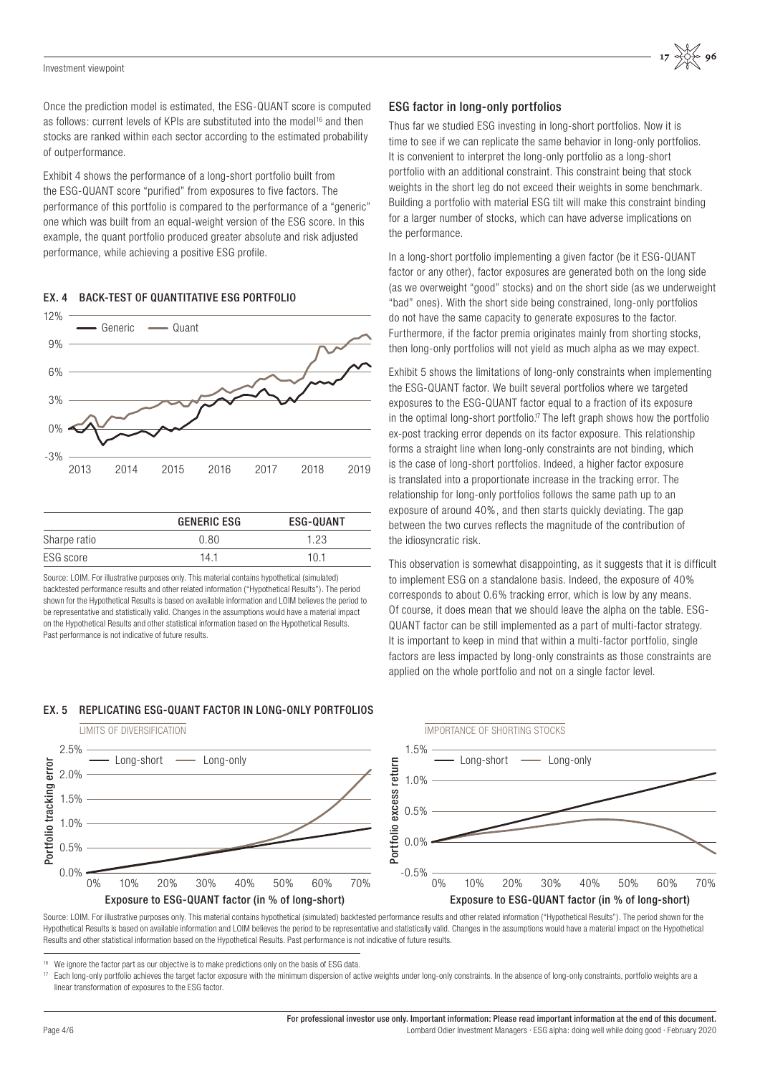Once the prediction model is estimated, the ESG-QUANT score is computed as follows: current levels of KPIs are substituted into the model<sup>16</sup> and then stocks are ranked within each sector according to the estimated probability of outperformance.

Exhibit 4 shows the performance of a long-short portfolio built from the ESG-QUANT score "purified" from exposures to five factors. The performance of this portfolio is compared to the performance of a "generic" one which was built from an equal-weight version of the ESG score. In this example, the quant portfolio produced greater absolute and risk adjusted performance, while achieving a positive ESG profile.





|              | <b>GENERIC ESG</b> | ESG-QUANT |
|--------------|--------------------|-----------|
| Sharpe ratio | 0.80               | 1.23      |
| ESG score    | 14.1               | 10.1      |

Source: LOIM. For illustrative purposes only. This material contains hypothetical (simulated) backtested performance results and other related information ("Hypothetical Results"). The period shown for the Hypothetical Results is based on available information and LOIM believes the period to be representative and statistically valid. Changes in the assumptions would have a material impact on the Hypothetical Results and other statistical information based on the Hypothetical Results. Past performance is not indicative of future results.

# EX. 5 REPLICATING ESG-QUANT FACTOR IN LONG-ONLY PORTFOLIOS

# ESG factor in long-only portfolios

Thus far we studied ESG investing in long-short portfolios. Now it is time to see if we can replicate the same behavior in long-only portfolios. It is convenient to interpret the long-only portfolio as a long-short portfolio with an additional constraint. This constraint being that stock weights in the short leg do not exceed their weights in some benchmark. Building a portfolio with material ESG tilt will make this constraint binding for a larger number of stocks, which can have adverse implications on the performance.

In a long-short portfolio implementing a given factor (be it ESG-QUANT factor or any other), factor exposures are generated both on the long side (as we overweight "good" stocks) and on the short side (as we underweight "bad" ones). With the short side being constrained, long-only portfolios do not have the same capacity to generate exposures to the factor. Furthermore, if the factor premia originates mainly from shorting stocks, then long-only portfolios will not yield as much alpha as we may expect.

Exhibit 5 shows the limitations of long-only constraints when implementing the ESG-QUANT factor. We built several portfolios where we targeted exposures to the ESG-QUANT factor equal to a fraction of its exposure in the optimal long-short portfolio.<sup>17</sup> The left graph shows how the portfolio ex-post tracking error depends on its factor exposure. This relationship forms a straight line when long-only constraints are not binding, which is the case of long-short portfolios. Indeed, a higher factor exposure is translated into a proportionate increase in the tracking error. The relationship for long-only portfolios follows the same path up to an exposure of around 40%, and then starts quickly deviating. The gap between the two curves reflects the magnitude of the contribution of the idiosyncratic risk.

This observation is somewhat disappointing, as it suggests that it is difficult to implement ESG on a standalone basis. Indeed, the exposure of 40% corresponds to about 0.6% tracking error, which is low by any means. Of course, it does mean that we should leave the alpha on the table. ESG-QUANT factor can be still implemented as a part of multi-factor strategy. It is important to keep in mind that within a multi-factor portfolio, single factors are less impacted by long-only constraints as those constraints are applied on the whole portfolio and not on a single factor level.



Source: LOIM. For illustrative purposes only. This material contains hypothetical (simulated) backtested performance results and other related information ("Hypothetical Results"). The period shown for the Hypothetical Results is based on available information and LOIM believes the period to be representative and statistically valid. Changes in the assumptions would have a material impact on the Hypothetical Results and other statistical information based on the Hypothetical Results. Past performance is not indicative of future results.

We ignore the factor part as our objective is to make predictions only on the basis of ESG data.

<sup>17</sup> Each long-only portfolio achieves the target factor exposure with the minimum dispersion of active weights under long-only constraints. In the absence of long-only constraints, portfolio weights are a linear transformation of exposures to the ESG factor.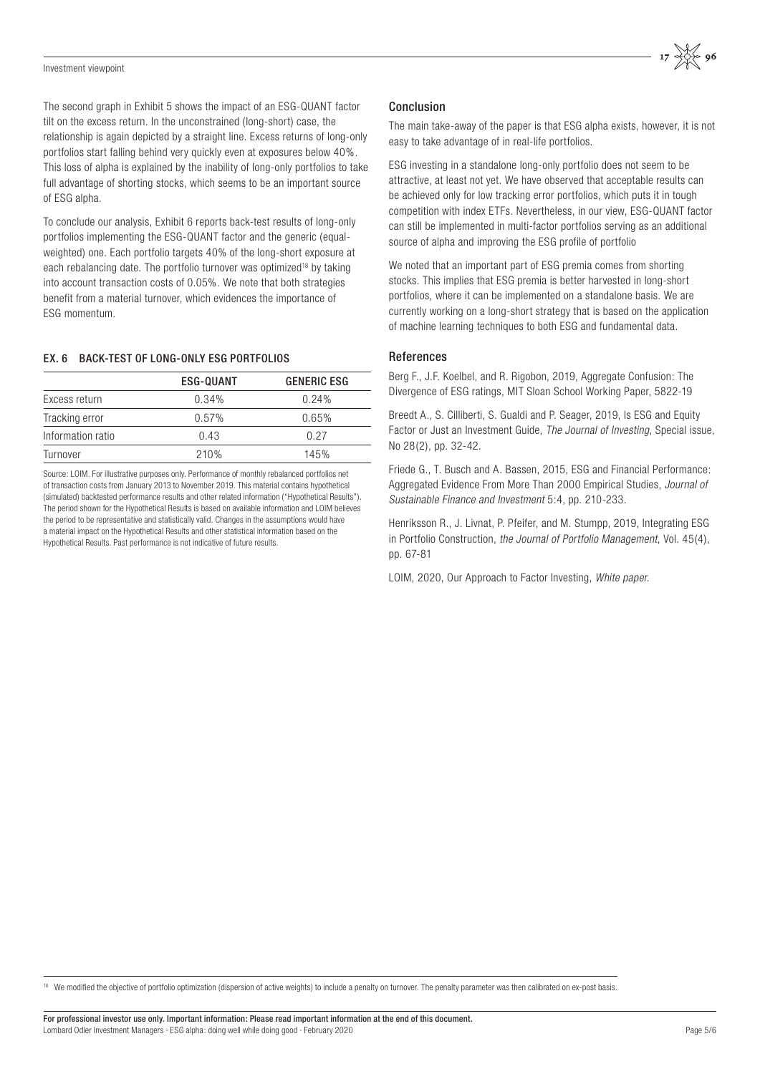

The second graph in Exhibit 5 shows the impact of an ESG-QUANT factor tilt on the excess return. In the unconstrained (long-short) case, the relationship is again depicted by a straight line. Excess returns of long-only portfolios start falling behind very quickly even at exposures below 40%. This loss of alpha is explained by the inability of long-only portfolios to take full advantage of shorting stocks, which seems to be an important source of ESG alpha.

To conclude our analysis, Exhibit 6 reports back-test results of long-only portfolios implementing the ESG-QUANT factor and the generic (equalweighted) one. Each portfolio targets 40% of the long-short exposure at each rebalancing date. The portfolio turnover was optimized<sup>18</sup> by taking into account transaction costs of 0.05%. We note that both strategies benefit from a material turnover, which evidences the importance of ESG momentum.

# EX. 6 BACK-TEST OF LONG-ONLY ESG PORTFOLIOS

|                   | ESG-QUANT | <b>GENERIC ESG</b> |
|-------------------|-----------|--------------------|
| Excess return     | 0.34%     | 0.24%              |
| Tracking error    | $0.57\%$  | 0.65%              |
| Information ratio | 0.43      | 0.27               |
| Turnover          | 210%      | 145%               |

Source: LOIM. For illustrative purposes only. Performance of monthly rebalanced portfolios net of transaction costs from January 2013 to November 2019. This material contains hypothetical (simulated) backtested performance results and other related information ("Hypothetical Results"). The period shown for the Hypothetical Results is based on available information and LOIM believes the period to be representative and statistically valid. Changes in the assumptions would have a material impact on the Hypothetical Results and other statistical information based on the Hypothetical Results. Past performance is not indicative of future results.

# Conclusion

The main take-away of the paper is that ESG alpha exists, however, it is not easy to take advantage of in real-life portfolios.

ESG investing in a standalone long-only portfolio does not seem to be attractive, at least not yet. We have observed that acceptable results can be achieved only for low tracking error portfolios, which puts it in tough competition with index ETFs. Nevertheless, in our view, ESG-QUANT factor can still be implemented in multi-factor portfolios serving as an additional source of alpha and improving the ESG profile of portfolio

We noted that an important part of ESG premia comes from shorting stocks. This implies that ESG premia is better harvested in long-short portfolios, where it can be implemented on a standalone basis. We are currently working on a long-short strategy that is based on the application of machine learning techniques to both ESG and fundamental data.

# References

Berg F., J.F. Koelbel, and R. Rigobon, 2019, Aggregate Confusion: The Divergence of ESG ratings, MIT Sloan School Working Paper, 5822-19

Breedt A., S. Cilliberti, S. Gualdi and P. Seager, 2019, Is ESG and Equity Factor or Just an Investment Guide, The Journal of Investing, Special issue, No 28(2), pp. 32-42.

Friede G., T. Busch and A. Bassen, 2015, ESG and Financial Performance: Aggregated Evidence From More Than 2000 Empirical Studies, Journal of Sustainable Finance and Investment 5:4, pp. 210-233.

Henriksson R., J. Livnat, P. Pfeifer, and M. Stumpp, 2019, Integrating ESG in Portfolio Construction, the Journal of Portfolio Management, Vol. 45(4), pp. 67-81

LOIM, 2020, Our Approach to Factor Investing, White paper.

<sup>18</sup> We modified the objective of portfolio optimization (dispersion of active weights) to include a penalty on turnover. The penalty parameter was then calibrated on ex-post basis.